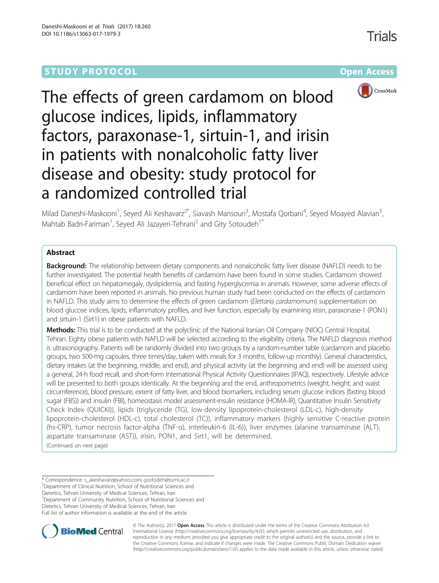# **STUDY PROTOCOL CONSUMING THE RESERVE ACCESS**



Trials

The effects of green cardamom on blood glucose indices, lipids, inflammatory factors, paraxonase-1, sirtuin-1, and irisin in patients with nonalcoholic fatty liver disease and obesity: study protocol for a randomized controlled trial

Milad Daneshi-Maskooni<sup>1</sup>, Seyed Ali Keshavarz<sup>2\*</sup>, Siavash Mansouri<sup>3</sup>, Mostafa Qorbani<sup>4</sup>, Seyed Moayed Alavian<sup>5</sup> , Mahtab Badri-Fariman<sup>1</sup>, Seyed Ali Jazayeri-Tehrani<sup>2</sup> and Gity Sotoudeh<sup>1\*</sup>

## Abstract

**Background:** The relationship between dietary components and nonalcoholic fatty liver disease (NAFLD) needs to be further investigated. The potential health benefits of cardamom have been found in some studies. Cardamom showed beneficial effect on hepatomegaly, dyslipidemia, and fasting hyperglycemia in animals. However, some adverse effects of cardamom have been reported in animals. No previous human study had been conducted on the effects of cardamom in NAFLD. This study aims to determine the effects of green cardamom (Elettaria cardamomum) supplementation on blood glucose indices, lipids, inflammatory profiles, and liver function, especially by examining irisin, paraxonase-1 (PON1) and sirtuin-1 (Sirt1) in obese patients with NAFLD.

Methods: This trial is to be conducted at the polyclinic of the National Iranian Oil Company (NIOC) Central Hospital, Tehran. Eighty obese patients with NAFLD will be selected according to the eligibility criteria. The NAFLD diagnosis method is ultrasonography. Patients will be randomly divided into two groups by a random-number table (cardamom and placebo groups, two 500-mg capsules, three times/day, taken with meals for 3 months, follow-up monthly). General characteristics, dietary intakes (at the beginning, middle, and end), and physical activity (at the beginning and end) will be assessed using a general, 24-h food recall, and short-form International Physical Activity Questionnaires (IPAQ), respectively. Lifestyle advice will be presented to both groups identically. At the beginning and the end, anthropometrics (weight, height, and waist circumference), blood pressure, extent of fatty liver, and blood biomarkers, including serum glucose indices (fasting blood sugar (FBS)) and insulin (FBI), homeostasis model assessment-insulin resistance (HOMA-IR), Quantitative Insulin Sensitivity Check Index (QUICKI)), lipids (triglyceride (TG), low-density lipoprotein-cholesterol (LDL-c), high-density lipoprotein-cholesterol (HDL-c), total cholesterol (TC)), inflammatory markers (highly sensitive C-reactive protein (hs-CRP), tumor necrosis factor-alpha (TNF-α), interleukin-6 (IL-6)), liver enzymes (alanine transaminase (ALT), aspartate transaminase (AST)), irisin, PON1, and Sirt1, will be determined.

(Continued on next page)

\* Correspondence: [s\\_akeshavarz@yahoo.com;](mailto:s_akeshavarz@yahoo.com) [gsotodeh@tums.ac.ir](mailto:gsotodeh@tums.ac.ir) <sup>2</sup> <sup>2</sup>Department of Clinical Nutrition, School of Nutritional Sciences and Dietetics, Tehran University of Medical Sciences, Tehran, Iran

<sup>1</sup>Department of Community Nutrition, School of Nutritional Sciences and Dietetics, Tehran University of Medical Sciences, Tehran, Iran Full list of author information is available at the end of the article



© The Author(s). 2017 **Open Access** This article is distributed under the terms of the Creative Commons Attribution 4.0 International License [\(http://creativecommons.org/licenses/by/4.0/](http://creativecommons.org/licenses/by/4.0/)), which permits unrestricted use, distribution, and reproduction in any medium, provided you give appropriate credit to the original author(s) and the source, provide a link to the Creative Commons license, and indicate if changes were made. The Creative Commons Public Domain Dedication waiver [\(http://creativecommons.org/publicdomain/zero/1.0/](http://creativecommons.org/publicdomain/zero/1.0/)) applies to the data made available in this article, unless otherwise stated.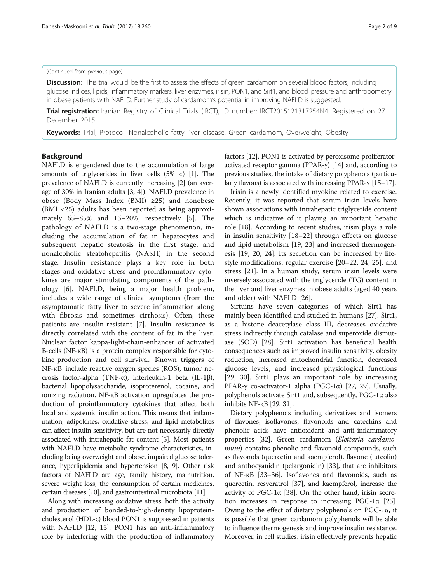#### (Continued from previous page)

Discussion: This trial would be the first to assess the effects of green cardamom on several blood factors, including glucose indices, lipids, inflammatory markers, liver enzymes, irisin, PON1, and Sirt1, and blood pressure and anthropometry in obese patients with NAFLD. Further study of cardamom's potential in improving NAFLD is suggested.

Trial registration: Iranian Registry of Clinical Trials (IRCT), ID number: [IRCT2015121317254N4](http://en.search.irct.ir/view/27387). Registered on 27 December 2015.

Keywords: Trial, Protocol, Nonalcoholic fatty liver disease, Green cardamom, Overweight, Obesity

## Background

NAFLD is engendered due to the accumulation of large amounts of triglycerides in liver cells  $(5\% \lt)$  [\[1](#page-6-0)]. The prevalence of NAFLD is currently increasing [[2\]](#page-6-0) (an average of 30% in Iranian adults [\[3, 4\]](#page-6-0)). NAFLD prevalence in obese (Body Mass Index (BMI) ≥25) and nonobese (BMI <25) adults has been reported as being approximately 65–85% and 15–20%, respectively [\[5](#page-6-0)]. The pathology of NAFLD is a two-stage phenomenon, including the accumulation of fat in hepatocytes and subsequent hepatic steatosis in the first stage, and nonalcoholic steatohepatitis (NASH) in the second stage. Insulin resistance plays a key role in both stages and oxidative stress and proinflammatory cytokines are major stimulating components of the pathology [\[6](#page-6-0)]. NAFLD, being a major health problem, includes a wide range of clinical symptoms (from the asymptomatic fatty liver to severe inflammation along with fibrosis and sometimes cirrhosis). Often, these patients are insulin-resistant [\[7](#page-6-0)]. Insulin resistance is directly correlated with the content of fat in the liver. Nuclear factor kappa-light-chain-enhancer of activated B-cells (NF-κB) is a protein complex responsible for cytokine production and cell survival. Known triggers of NF-κB include reactive oxygen species (ROS), tumor necrosis factor-alpha (TNF-α), interleukin-1 beta (IL-1β), bacterial lipopolysaccharide, isoproterenol, cocaine, and ionizing radiation. NF-κB activation upregulates the production of proinflammatory cytokines that affect both local and systemic insulin action. This means that inflammation, adipokines, oxidative stress, and lipid metabolites can affect insulin sensitivity, but are not necessarily directly associated with intrahepatic fat content [[5](#page-6-0)]. Most patients with NAFLD have metabolic syndrome characteristics, including being overweight and obese, impaired glucose tolerance, hyperlipidemia and hypertension [\[8,](#page-6-0) [9](#page-7-0)]. Other risk factors of NAFLD are age, family history, malnutrition, severe weight loss, the consumption of certain medicines, certain diseases [\[10\]](#page-7-0), and gastrointestinal microbiota [\[11\]](#page-7-0).

Along with increasing oxidative stress, both the activity and production of bonded-to-high-density lipoproteincholesterol (HDL-c) blood PON1 is suppressed in patients with NAFLD [[12](#page-7-0), [13](#page-7-0)]. PON1 has an anti-inflammatory role by interfering with the production of inflammatory factors [\[12\]](#page-7-0). PON1 is activated by peroxisome proliferatoractivated receptor gamma (PPAR-γ) [[14](#page-7-0)] and, according to previous studies, the intake of dietary polyphenols (particularly flavons) is associated with increasing PPAR-γ [\[15](#page-7-0)–[17](#page-7-0)].

Irisin is a newly identified myokine related to exercise. Recently, it was reported that serum irisin levels have shown associations with intrahepatic triglyceride content which is indicative of it playing an important hepatic role [\[18\]](#page-7-0). According to recent studies, irisin plays a role in insulin sensitivity [\[18](#page-7-0)–[22\]](#page-7-0) through effects on glucose and lipid metabolism [[19](#page-7-0), [23\]](#page-7-0) and increased thermogenesis [[19](#page-7-0), [20, 24\]](#page-7-0). Its secretion can be increased by lifestyle modifications, regular exercise [[20](#page-7-0)–[22](#page-7-0), [24](#page-7-0), [25\]](#page-7-0), and stress [[21\]](#page-7-0). In a human study, serum irisin levels were inversely associated with the triglyceride (TG) content in the liver and liver enzymes in obese adults (aged 40 years and older) with NAFLD [[26\]](#page-7-0).

Sirtuins have seven categories, of which Sirt1 has mainly been identified and studied in humans [[27\]](#page-7-0). Sirt1, as a histone deacetylase class III, decreases oxidative stress indirectly through catalase and superoxide dismutase (SOD) [\[28](#page-7-0)]. Sirt1 activation has beneficial health consequences such as improved insulin sensitivity, obesity reduction, increased mitochondrial function, decreased glucose levels, and increased physiological functions [[29, 30\]](#page-7-0). Sirt1 plays an important role by increasing PPAR-γ co-activator-1 alpha (PGC-1α) [\[27, 29\]](#page-7-0). Usually, polyphenols activate Sirt1 and, subsequently,  $PGC-1\alpha$  also inhibits NF-κB [\[29](#page-7-0), [31](#page-7-0)].

Dietary polyphenols including derivatives and isomers of flavones, isoflavones, flavonoids and catechins and phenolic acids have antioxidant and anti-inflammatory properties [\[32](#page-7-0)]. Green cardamom (Elettaria cardamo*mum*) contains phenolic and flavonoid compounds, such as flavonols (quercetin and kaempferol), flavone (luteolin) and anthocyanidin (pelargonidin) [\[33](#page-7-0)], that are inhibitors of NF-κB [[33](#page-7-0)–[36](#page-7-0)]. Isoflavones and flavonoids, such as quercetin, resveratrol [\[37\]](#page-7-0), and kaempferol, increase the activity of PGC-1 $\alpha$  [\[38](#page-7-0)]. On the other hand, irisin secretion increases in response to increasing PGC-1 $\alpha$  [[25](#page-7-0)]. Owing to the effect of dietary polyphenols on PGC-1α, it is possible that green cardamom polyphenols will be able to influence thermogenesis and improve insulin resistance. Moreover, in cell studies, irisin effectively prevents hepatic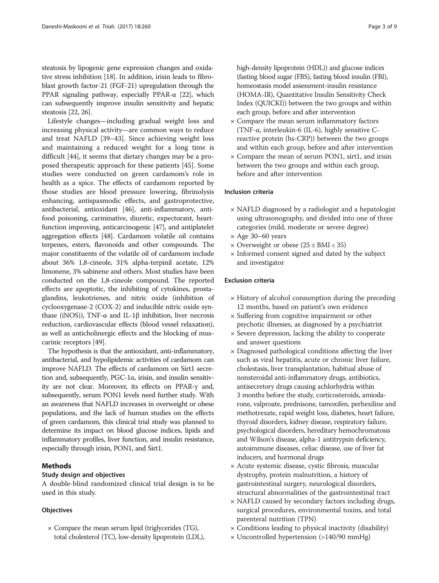steatosis by lipogenic gene expression changes and oxidative stress inhibition [[18\]](#page-7-0). In addition, irisin leads to fibroblast growth factor-21 (FGF-21) upregulation through the PPAR signaling pathway, especially PPAR-α [[22\]](#page-7-0), which can subsequently improve insulin sensitivity and hepatic steatosis [[22](#page-7-0), [26\]](#page-7-0).

Lifestyle changes—including gradual weight loss and increasing physical activity—are common ways to reduce and treat NAFLD [\[39](#page-7-0)–[43\]](#page-7-0). Since achieving weight loss and maintaining a reduced weight for a long time is difficult [\[44](#page-7-0)], it seems that dietary changes may be a proposed therapeutic approach for these patients [[45\]](#page-7-0). Some studies were conducted on green cardamom's role in health as a spice. The effects of cardamom reported by those studies are blood pressure lowering, fibrinolysis enhancing, antispasmodic effects, and gastroprotective, antibacterial, antioxidant [\[46\]](#page-7-0), anti-inflammatory, antifood poisoning, carminative, diuretic, expectorant, heartfunction improving, anticarcinogenic [[47](#page-7-0)], and antiplatelet aggregation effects [\[48](#page-7-0)]. Cardamom volatile oil contains terpenes, esters, flavonoids and other compounds. The major constituents of the volatile oil of cardamom include about 36% 1,8-cineole, 31% alpha-terpinil acetate, 12% limonene, 3% sabinene and others. Most studies have been conducted on the 1,8-cineole compound. The reported effects are apoptotic, the inhibiting of cytokines, prostaglandins, leukotrienes, and nitric oxide (inhibition of cyclooxygenase-2 (COX-2) and inducible nitric oxide synthase (iNOS)), TNF- $\alpha$  and IL-1β inhibition, liver necrosis reduction, cardiovascular effects (blood vessel relaxation), as well as anticholinergic effects and the blocking of muscarinic receptors [[49\]](#page-7-0).

The hypothesis is that the antioxidant, anti-inflammatory, antibacterial, and hypolipidemic activities of cardamom can improve NAFLD. The effects of cardamom on Sirt1 secretion and, subsequently, PGC-1α, irisin, and insulin sensitivity are not clear. Moreover, its effects on PPAR-γ and, subsequently, serum PON1 levels need further study. With an awareness that NAFLD increases in overweight or obese populations, and the lack of human studies on the effects of green cardamom, this clinical trial study was planned to determine its impact on blood glucose indices, lipids and inflammatory profiles, liver function, and insulin resistance, especially through irisin, PON1, and Sirt1.

## Methods

## Study design and objectives

A double-blind randomized clinical trial design is to be used in this study.

## **Objectives**

× Compare the mean serum lipid (triglycerides (TG), total cholesterol (TC), low-density lipoprotein (LDL), high-density lipoprotein (HDL)) and glucose indices (fasting blood sugar (FBS), fasting blood insulin (FBI), homeostasis model assessment-insulin resistance (HOMA-IR), Quantitative Insulin Sensitivity Check Index (QUICKI)) between the two groups and within each group, before and after intervention

- × Compare the mean serum inflammatory factors (TNF-α, interleukin-6 (IL-6), highly sensitive Creactive protein (hs-CRP)) between the two groups and within each group, before and after intervention
- × Compare the mean of serum PON1, sirt1, and irisin between the two groups and within each group, before and after intervention

## Inclusion criteria

- × NAFLD diagnosed by a radiologist and a hepatologist using ultrasonography, and divided into one of three categories (mild, moderate or severe degree)
- × Age 30–60 years
- $\times$  Overweight or obese (25  $\leq$  BMI  $<$  35)
- × Informed consent signed and dated by the subject and investigator

## Exclusion criteria

- × History of alcohol consumption during the preceding 12 months, based on patient's own evidence
- × Suffering from cognitive impairment or other psychotic illnesses, as diagnosed by a psychiatrist
- × Severe depression, lacking the ability to cooperate and answer questions
- × Diagnosed pathological conditions affecting the liver such as viral hepatitis, acute or chronic liver failure, cholestasis, liver transplantation, habitual abuse of nonsteroidal anti-inflammatory drugs, antibiotics, antisecretory drugs causing achlorhydria within 3 months before the study, corticosteroids, amiodarone, valproate, prednisone, tamoxifen, perhexiline and methotrexate, rapid weight loss, diabetes, heart failure, thyroid disorders, kidney disease, respiratory failure, psychological disorders, hereditary hemochromatosis and Wilson's disease, alpha-1 antitrypsin deficiency, autoimmune diseases, celiac disease, use of liver fat inducers, and hormonal drugs
- × Acute systemic disease, cystic fibrosis, muscular dystrophy, protein malnutrition, a history of gastrointestinal surgery, neurological disorders, structural abnormalities of the gastrointestinal tract
- × NAFLD caused by secondary factors including drugs, surgical procedures, environmental toxins, and total parenteral nutrition (TPN)
- × Conditions leading to physical inactivity (disability)
- × Uncontrolled hypertension (>140/90 mmHg)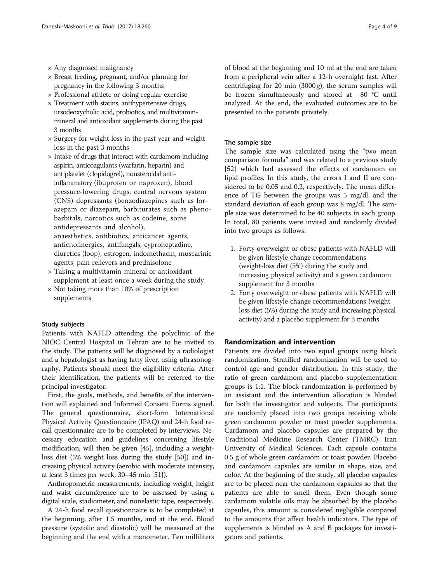- × Any diagnosed malignancy
- × Breast feeding, pregnant, and/or planning for pregnancy in the following 3 months
- × Professional athlete or doing regular exercise
- $\times$  Treatment with statins, antihypertensive drugs, ursodeoxycholic acid, probiotics, and multivitaminmineral and antioxidant supplements during the past 3 months
- × Surgery for weight loss in the past year and weight loss in the past 3 months
- × Intake of drugs that interact with cardamom including aspirin, anticoagulants (warfarin, heparin) and antiplatelet (clopidogrel), nonsteroidal antiinflammatory (ibuprofen or naproxen), blood pressure-lowering drugs, central nervous system (CNS) depressants (benzodiazepines such as lorazepam or diazepam, barbiturates such as phenobarbitals, narcotics such as codeine, some antidepressants and alcohol), anaesthetics, antibiotics, anticancer agents, anticholinergics, antifungals, cyproheptadine, diuretics (loop), estrogen, indomethacin, muscarinic agents, pain relievers and prednisolone
- × Taking a multivitamin-mineral or antioxidant supplement at least once a week during the study
- × Not taking more than 10% of prescription supplements

#### Study subjects

Patients with NAFLD attending the polyclinic of the NIOC Central Hospital in Tehran are to be invited to the study. The patients will be diagnosed by a radiologist and a hepatologist as having fatty liver, using ultrasonography. Patients should meet the eligibility criteria. After their identification, the patients will be referred to the principal investigator.

First, the goals, methods, and benefits of the intervention will explained and Informed Consent Forms signed. The general questionnaire, short-form International Physical Activity Questionnaire (IPAQ) and 24-h food recall questionnaire are to be completed by interviews. Necessary education and guidelines concerning lifestyle modification, will then be given [\[45\]](#page-7-0), including a weightloss diet (5% weight loss during the study [\[50\]](#page-7-0)) and increasing physical activity (aerobic with moderate intensity, at least 3 times per week, 30–45 min [\[51\]](#page-7-0)).

Anthropometric measurements, including weight, height and waist circumference are to be assessed by using a digital scale, stadiometer, and nonelastic tape, respectively.

A 24-h food recall questionnaire is to be completed at the beginning, after 1.5 months, and at the end. Blood pressure (systolic and diastolic) will be measured at the beginning and the end with a manometer. Ten milliliters of blood at the beginning and 10 ml at the end are taken from a peripheral vein after a 12-h overnight fast. After centrifuging for 20 min  $(3000 \text{ g})$ , the serum samples will be frozen simultaneously and stored at −80 °C until analyzed. At the end, the evaluated outcomes are to be presented to the patients privately.

## The sample size

The sample size was calculated using the "two mean comparison formula" and was related to a previous study [[52\]](#page-7-0) which had assessed the effects of cardamom on lipid profiles. In this study, the errors I and II are considered to be 0.05 and 0.2, respectively. The mean difference of TG between the groups was 5 mg/dl, and the standard deviation of each group was 8 mg/dl. The sample size was determined to be 40 subjects in each group. In total, 80 patients were invited and randomly divided into two groups as follows:

- 1. Forty overweight or obese patients with NAFLD will be given lifestyle change recommendations (weight-loss diet (5%) during the study and increasing physical activity) and a green cardamom supplement for 3 months
- 2. Forty overweight or obese patients with NAFLD will be given lifestyle change recommendations (weight loss diet (5%) during the study and increasing physical activity) and a placebo supplement for 3 months

## Randomization and intervention

Patients are divided into two equal groups using block randomization. Stratified randomization will be used to control age and gender distribution. In this study, the ratio of green cardamom and placebo supplementation groups is 1:1. The block randomization is performed by an assistant and the intervention allocation is blinded for both the investigator and subjects. The participants are randomly placed into two groups receiving whole green cardamom powder or toast powder supplements. Cardamom and placebo capsules are prepared by the Traditional Medicine Research Center (TMRC), Iran University of Medical Sciences. Each capsule contains 0.5 g of whole green cardamom or toast powder. Placebo and cardamom capsules are similar in shape, size, and color. At the beginning of the study, all placebo capsules are to be placed near the cardamom capsules so that the patients are able to smell them. Even though some cardamom volatile oils may be absorbed by the placebo capsules, this amount is considered negligible compared to the amounts that affect health indicators. The type of supplements is blinded as A and B packages for investigators and patients.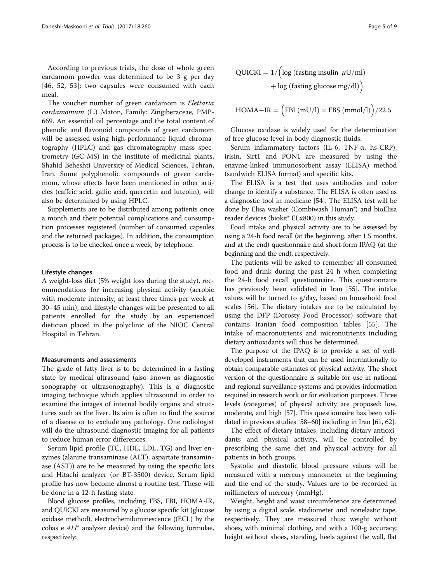According to previous trials, the dose of whole green cardamom powder was determined to be 3 g per day [[46, 52](#page-7-0), [53\]](#page-7-0); two capsules were consumed with each meal.

The voucher number of green cardamom is Elettaria cardamomum (L.) Maton, Family: Zingiberaceae, PMP-669. An essential oil percentage and the total content of phenolic and flavonoid compounds of green cardamom will be assessed using high-performance liquid chromatography (HPLC) and gas chromatography mass spectrometry (GC-MS) in the institute of medicinal plants, Shahid Beheshti University of Medical Sciences, Tehran, Iran. Some polyphenolic compounds of green cardamom, whose effects have been mentioned in other articles (caffeic acid, gallic acid, quercetin and luteolin), will also be determined by using HPLC.

Supplements are to be distributed among patients once a month and their potential complications and consumption processes registered (number of consumed capsules and the returned packages). In addition, the consumption process is to be checked once a week, by telephone.

## Lifestyle changes

A weight-loss diet (5% weight loss during the study), recommendations for increasing physical activity (aerobic with moderate intensity, at least three times per week at 30–45 min), and lifestyle changes will be presented to all patients enrolled for the study by an experienced dietician placed in the polyclinic of the NIOC Central Hospital in Tehran.

#### Measurements and assessments

The grade of fatty liver is to be determined in a fasting state by medical ultrasound (also known as diagnostic sonography or ultrasonography). This is a diagnostic imaging technique which applies ultrasound in order to examine the images of internal bodily organs and structures such as the liver. Its aim is often to find the source of a disease or to exclude any pathology. One radiologist will do the ultrasound diagnostic imaging for all patients to reduce human error differences.

Serum lipid profile (TC, HDL, LDL, TG) and liver enzymes (alanine transaminase (ALT), aspartate transaminase (AST)) are to be measured by using the specific kits and Hitachi analyzer (or BT-3500) device. Serum lipid profile has now become almost a routine test. These will be done in a 12-h fasting state.

Blood glucose profiles, including FBS, FBI, HOMA-IR, and QUICKI are measured by a glucose specific kit (glucose oxidase method), electrochemiluminescence ((ECL) by the cobas e 411® analyzer device) and the following formulae, respectively:

$$
QUICKI = 1/ (log (fasting insulin \mu U/ml) + log (fasting glucose mg/dl))
$$

$$
HOMA-IR = (FBI (mU/l) \times FBS (mmol/l) \big) / 22.5
$$

Glucose oxidase is widely used for the determination of free glucose level in body diagnostic fluids.

Serum inflammatory factors (IL-6, TNF-α, hs-CRP), irisin, Sirt1 and PON1 are measured by using the enzyme-linked immunosorbent assay (ELISA) method (sandwich ELISA format) and specific kits.

The ELISA is a test that uses antibodies and color change to identify a substance. The ELISA is often used as a diagnostic tool in medicine [\[54\]](#page-7-0). The ELISA test will be done by Elisa washer (Combiwash Human®) and bioElisa reader devices (biokit® ELx800) in this study.

Food intake and physical activity are to be assessed by using a 24-h food recall (at the beginning, after 1.5 months, and at the end) questionnaire and short-form IPAQ (at the beginning and the end), respectively.

The patients will be asked to remember all consumed food and drink during the past 24 h when completing the 24-h food recall questionnaire. This questionnaire has previously been validated in Iran [[55\]](#page-8-0). The intake values will be turned to g/day, based on household food scales [[56](#page-8-0)]. The dietary intakes are to be calculated by using the DFP (Dorosty Food Processor) software that contains Iranian food composition tables [\[55\]](#page-8-0). The intake of macronutrients and micronutrients including dietary antioxidants will thus be determined.

The purpose of the IPAQ is to provide a set of welldeveloped instruments that can be used internationally to obtain comparable estimates of physical activity. The short version of the questionnaire is suitable for use in national and regional surveillance systems and provides information required in research work or for evaluation purposes. Three levels (categories) of physical activity are proposed: low, moderate, and high [\[57](#page-8-0)]. This questionnaire has been validated in previous studies [\[58](#page-8-0)–[60](#page-8-0)] including in Iran [[61, 62](#page-8-0)].

The effect of dietary intakes, including dietary antioxidants and physical activity, will be controlled by prescribing the same diet and physical activity for all patients in both groups.

Systolic and diastolic blood pressure values will be measured with a mercury manometer at the beginning and the end of the study. Values are to be recorded in millimeters of mercury (mmHg).

Weight, height and waist circumference are determined by using a digital scale, stadiometer and nonelastic tape, respectively. They are measured thus: weight without shoes, with minimal clothing, and with a 100-g accuracy; height without shoes, standing, heels against the wall, flat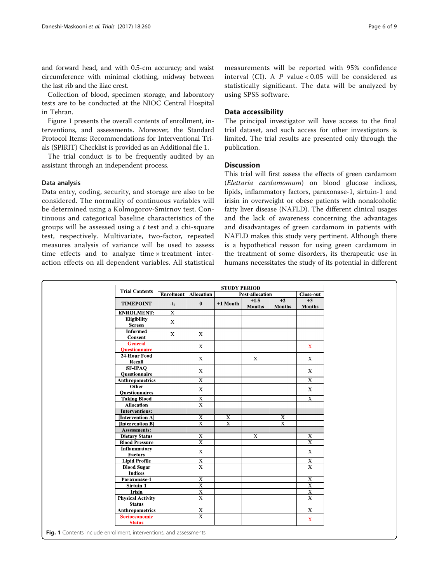and forward head, and with 0.5-cm accuracy; and waist circumference with minimal clothing, midway between the last rib and the iliac crest.

Collection of blood, specimen storage, and laboratory tests are to be conducted at the NIOC Central Hospital in Tehran.

Figure 1 presents the overall contents of enrollment, interventions, and assessments. Moreover, the Standard Protocol Items: Recommendations for Interventional Trials (SPIRIT) Checklist is provided as an Additional file [1.](#page-6-0)

The trial conduct is to be frequently audited by an assistant through an independent process.

#### Data analysis

Data entry, coding, security, and storage are also to be considered. The normality of continuous variables will be determined using a Kolmogorov-Smirnov test. Continuous and categorical baseline characteristics of the groups will be assessed using a t test and a chi-square test, respectively. Multivariate, two-factor, repeated measures analysis of variance will be used to assess time effects and to analyze time × treatment interaction effects on all dependent variables. All statistical

measurements will be reported with 95% confidence interval (CI). A  $P$  value < 0.05 will be considered as statistically significant. The data will be analyzed by using SPSS software.

## Data accessibility

The principal investigator will have access to the final trial dataset, and such access for other investigators is limited. The trial results are presented only through the publication.

## **Discussion**

This trial will first assess the effects of green cardamom (Elettaria cardamomum) on blood glucose indices, lipids, inflammatory factors, paraxonase-1, sirtuin-1 and irisin in overweight or obese patients with nonalcoholic fatty liver disease (NAFLD). The different clinical usages and the lack of awareness concerning the advantages and disadvantages of green cardamom in patients with NAFLD makes this study very pertinent. Although there is a hypothetical reason for using green cardamom in the treatment of some disorders, its therapeutic use in humans necessitates the study of its potential in different

|                                                                    | <b>STUDY PERIOD</b>                               |                         |                |                  |                         |                         |
|--------------------------------------------------------------------|---------------------------------------------------|-------------------------|----------------|------------------|-------------------------|-------------------------|
| <b>Trial Contents</b>                                              | Enrolment<br>Allocation<br><b>Post-allocation</b> |                         |                |                  | Close-out               |                         |
| <b>TIMEPOINT</b>                                                   | $-t_1$                                            | $\bf{0}$                | +1 Month       | $+1.5$<br>Months | $+2$<br><b>Months</b>   | $+3$<br><b>Months</b>   |
| <b>ENROLMENT:</b>                                                  | $\overline{X}$                                    |                         |                |                  |                         |                         |
| Eligibility<br>Screen                                              | $\boldsymbol{\mathrm{X}}$                         |                         |                |                  |                         |                         |
| <b>Informed</b><br>Consent                                         | $\mathbf X$                                       | $\mathbf{X}$            |                |                  |                         |                         |
| <b>General</b><br><b>Questionnaire</b>                             |                                                   | $\mathbf X$             |                |                  |                         | $\mathbf{X}$            |
| 24-Hour Food<br>Recall                                             |                                                   | $\mathbf X$             |                | $\mathbf{X}$     |                         | $\mathbf X$             |
| <b>SF-IPAQ</b><br>Questionnaire                                    |                                                   | $\mathbf X$             |                |                  |                         | $\mathbf X$             |
| <b>Anthropometrics</b>                                             |                                                   | $\overline{X}$          |                |                  |                         | $\overline{X}$          |
| Other<br><b>Questionnaires</b>                                     |                                                   | $\mathbf X$             |                |                  |                         | $\mathbf X$             |
| <b>Taking Blood</b>                                                |                                                   | X                       |                |                  |                         | $\overline{X}$          |
| <b>Allocation</b>                                                  |                                                   | $\overline{\mathbf{X}}$ |                |                  |                         |                         |
| <b>Interventions:</b>                                              |                                                   |                         |                |                  |                         |                         |
| [Intervention A]                                                   |                                                   | $\mathbf X$             | $\mathbf X$    |                  | $\mathbf X$             |                         |
| [Intervention B]                                                   |                                                   | $\overline{X}$          | $\overline{X}$ |                  | $\overline{\mathbf{X}}$ |                         |
| Assessments:                                                       |                                                   |                         |                |                  |                         |                         |
| <b>Dietary Status</b>                                              |                                                   | $\mathbf X$             |                | $\mathbf X$      |                         | $\mathbf X$             |
| <b>Blood Pressure</b>                                              |                                                   | $\overline{\text{X}}$   |                |                  |                         | $\overline{\text{X}}$   |
| Inflammatory<br><b>Factors</b>                                     |                                                   | $\mathbf X$             |                |                  |                         | $\mathbf X$             |
| <b>Lipid Profile</b>                                               |                                                   | $\mathbf X$             |                |                  |                         | $\mathbf X$             |
| <b>Blood Sugar</b><br><b>Indices</b>                               |                                                   | $\overline{X}$          |                |                  |                         | $\overline{X}$          |
| Paraxonase-1                                                       |                                                   | $\overline{X}$          |                |                  |                         | $\overline{\mathbf{X}}$ |
| Sirtuin-1                                                          |                                                   | $\overline{X}$          |                |                  |                         | $\overline{\mathbf{X}}$ |
| Irisin                                                             |                                                   | $\overline{\mathbf{X}}$ |                |                  |                         | $\overline{\mathbf{X}}$ |
| <b>Physical Activity</b><br><b>Status</b>                          |                                                   | $\mathbf X$             |                |                  |                         | $\overline{X}$          |
| <b>Anthropometrics</b>                                             |                                                   | $\overline{X}$          |                |                  |                         | $\overline{\mathbf{X}}$ |
| Socioeconomic<br><b>Status</b>                                     |                                                   | $\overline{\mathbf{X}}$ |                |                  |                         | $\mathbf X$             |
| Fig. 1 Contents include enrollment, interventions, and assessments |                                                   |                         |                |                  |                         |                         |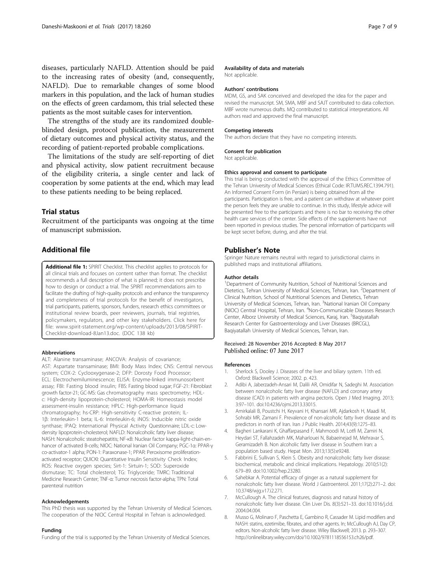<span id="page-6-0"></span>diseases, particularly NAFLD. Attention should be paid to the increasing rates of obesity (and, consequently, NAFLD). Due to remarkable changes of some blood markers in this population, and the lack of human studies on the effects of green cardamom, this trial selected these patients as the most suitable cases for intervention.

The strengths of the study are its randomized doubleblinded design, protocol publication, the measurement of dietary outcomes and physical activity status, and the recording of patient-reported probable complications.

The limitations of the study are self-reporting of diet and physical activity, slow patient recruitment because of the eligibility criteria, a single center and lack of cooperation by some patients at the end, which may lead to these patients needing to be being replaced.

## Trial status

Recruitment of the participants was ongoing at the time of manuscript submission.

## Additional file

[Additional file 1:](dx.doi.org/10.1186/s13063-017-1979-3) SPIRIT Checklist. This checklist applies to protocols for all clinical trials and focuses on content rather than format. The checklist recommends a full description of what is planned; it does not prescribe how to design or conduct a trial. The SPIRIT recommendations aim to facilitate the drafting of high-quality protocols and enhance the transparency and completeness of trial protocols for the benefit of investigators, trial participants, patients, sponsors, funders, research ethics committees or institutional review boards, peer reviewers, journals, trial registries, policymakers, regulators, and other key stakeholders. Click here for file: [www.spirit-statement.org/wp-content/uploads/2013/08/SPIRIT-](http://www.spirit-statement.org/wp-content/uploads/2013/08/SPIRIT-Checklist-download-8Jan13.doc)[Checklist-download-8Jan13.doc.](http://www.spirit-statement.org/wp-content/uploads/2013/08/SPIRIT-Checklist-download-8Jan13.doc) (DOC 138 kb)

#### Abbreviations

ALT: Alanine transaminase; ANCOVA: Analysis of covariance; AST: Aspartate transaminase; BMI: Body Mass Index; CNS: Central nervous system; COX-2: Cyclooxygenase-2; DFP: Dorosty Food Processor; ECL: Electrochemiluminescence; ELISA: Enzyme-linked immunosorbent assay; FBI: Fasting blood insulin; FBS: Fasting blood sugar; FGF-21: Fibroblast growth factor-21; GC-MS: Gas chromatography mass spectrometry; HDLc: High-density lipoprotein-cholesterol; HOMA-IR: Homeostasis model assessment-insulin resistance; HPLC: High-performance liquid chromatography; hs-CRP: High-sensitivity C-reactive protein; IL-1β: Interleukin-1 beta; IL-6: Interleukin-6; iNOS: Inducible nitric oxide synthase; IPAQ: International Physical Activity Questionnaire; LDL-c: Lowdensity lipoprotein-cholesterol; NAFLD: Nonalcoholic fatty liver disease; NASH: Nonalcoholic steatohepatitis; NF-κB: Nuclear factor kappa-light-chain-enhancer of activated B-cells; NIOC: National Iranian Oil Company; PGC-1α: PPAR-γ co-activator-1 alpha; PON-1: Paraxonase-1; PPAR: Peroxisome proliferationactivated receptor; QUICKI: Quantitative Insulin Sensitivity Check Index; ROS: Reactive oxygen species; Sirt-1: Sirtuin-1; SOD: Superoxide dismutase; TC: Total cholesterol; TG: Triglyceride; TMRC: Traditional Medicine Research Center; TNF-α: Tumor necrosis factor-alpha; TPN: Total parenteral nutrition

#### Acknowledgements

This PhD thesis was supported by the Tehran University of Medical Sciences. The cooperation of the NIOC Central Hospital in Tehran is acknowledged.

## Funding

Funding of the trial is supported by the Tehran University of Medical Sciences.

#### Availability of data and materials

Not applicable.

#### Authors' contributions

MDM, GS, and SAK conceived and developed the idea for the paper and revised the manuscript. SM, SMA, MBF and SAJT contributed to data collection. MBF wrote numerous drafts. MQ contributed to statistical interpretations. All authors read and approved the final manuscript.

#### Competing interests

The authors declare that they have no competing interests.

#### Consent for publication

Not applicable.

#### Ethics approval and consent to participate

This trial is being conducted with the approval of the Ethics Committee of the Tehran University of Medical Sciences (Ethical Code: IR.TUMS.REC.1394.791). An Informed Consent Form (in Persian) is being obtained from all the participants. Participation is free, and a patient can withdraw at whatever point the person feels they are unable to continue. In this study, lifestyle advice will be presented free to the participants and there is no bar to receiving the other health care services of the center. Side effects of the supplements have not been reported in previous studies. The personal information of participants will be kept secret before, during, and after the trial.

## Publisher's Note

Springer Nature remains neutral with regard to jurisdictional claims in published maps and institutional affiliations.

#### Author details

<sup>1</sup>Department of Community Nutrition, School of Nutritional Sciences and Dietetics, Tehran University of Medical Sciences, Tehran, Iran. <sup>2</sup>Department of Clinical Nutrition, School of Nutritional Sciences and Dietetics, Tehran University of Medical Sciences, Tehran, Iran. <sup>3</sup>National Iranian Oil Company (NIOC) Central Hospital, Tehran, Iran. <sup>4</sup> Non-Communicable Diseases Research Center, Alborz University of Medical Sciences, Karaj, Iran. <sup>5</sup>Baqiyatallah Research Center for Gastroenterology and Liver Diseases (BRCGL), Baqiyatallah University of Medical Sciences, Tehran, Iran.

# Received: 28 November 2016 Accepted: 8 May 2017

#### References

- 1. Sherlock S, Dooley J. Diseases of the liver and biliary system. 11th ed. Oxford: Blackwell Science; 2002. p. 423.
- 2. Adibi A, Jaberzadeh-Ansari M, Dalili AR, Omidifar N, Sadeghi M. Association between nonalcoholic fatty liver disease (NAFLD) and coronary artery disease (CAD) in patients with angina pectoris. Open J Med Imaging. 2013; 3:97–101. doi:[10.4236/ojmi.2013.33015](http://dx.doi.org/10.4236/ojmi.2013.33015).
- 3. Amirkalali B, Poustchi H, Keyvani H, Khansari MR, Ajdarkosh H, Maadi M, Sohrabi MR, Zamani F. Prevalence of non-alcoholic fatty liver disease and its predictors in north of Iran. Iran J Public Health. 2014;43(9):1275–83.
- 4. Bagheri Lankarani K, Ghaffarpasand F, Mahmoodi M, Lotfi M, Zamiri N, Heydari ST, Fallahzadeh MK, Maharlouei N, Babaeinejad M, Mehravar S, Geramizadeh B. Non alcoholic fatty liver disease in Southern Iran: a population based study. Hepat Mon. 2013;13(5):e9248.
- 5. Fabbrini E, Sullivan S, Klein S. Obesity and nonalcoholic fatty liver disease: biochemical, metabolic and clinical implications. Hepatology. 2010;51(2): 679–89. doi:[10.1002/hep.23280](http://dx.doi.org/10.1002/hep.23280).
- 6. Sahebkar A. Potential efficacy of ginger as a natural supplement for nonalcoholic fatty liver disease. World J Gastroenterol. 2011;17(2):271–2. doi: [10.3748/wjg.v17.i2.271.](http://dx.doi.org/10.3748/wjg.v17.i2.271)
- 7. McCullough A. The clinical features, diagnosis and natural history of nonalcoholic fatty liver disease. Clin Liver Dis. 8(3):521–33. doi[:10.1016/j.cld.](http://dx.doi.org/10.1016/j.cld.2004.04.004) [2004.04.004.](http://dx.doi.org/10.1016/j.cld.2004.04.004)
- 8. Musso G, Molinaro F, Paschetta E, Gambino R, Cassader M. Lipid modifiers and NASH: statins, ezetimibe, fibrates, and other agents. In; McCullough AJ, Day CP, editors. Non-alcoholic fatty liver disease. Wiley Blackwell; 2013. p. 293–307. <http://onlinelibrary.wiley.com/doi/10.1002/9781118556153.ch26/pdf>.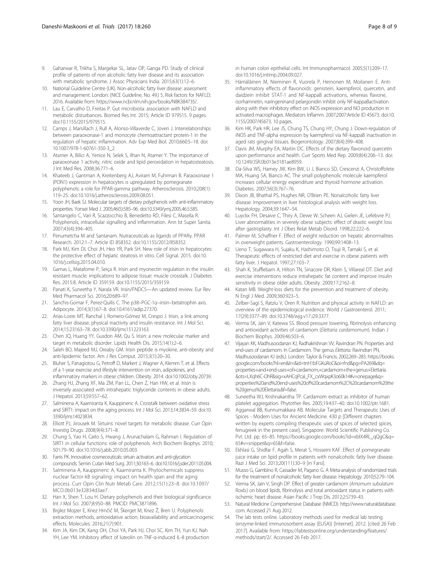- <span id="page-7-0"></span>9. Gaharwar R, Trikha S, Margekar SL, Jatav OP, Ganga PD. Study of clinical profile of patients of non alcoholic fatty liver disease and its association with metabolic syndrome. J Assoc Physicians India. 2015;63(1):12–6.
- 10. National Guideline Centre (UK). Non-alcoholic fatty liver disease: assessment and management. London: (NICE Guideline, No. 49.) 5, Risk factors for NAFLD; 2016. Available from:<https://www.ncbi.nlm.nih.gov/books/NBK384735/>.
- 11. Lau E, Carvalho D, Freitas P. Gut microbiota: association with NAFLD and metabolic disturbances. Biomed Res Int. 2015; Article ID 979515. 9 pages. doi[:10.1155/2015/979515.](http://dx.doi.org/10.1155/2015/979515)
- 12. Camps J, Marsillach J, Rull A, Alonso-Villaverde C, Joven J. Interrelationships between paraoxonase-1 and monocyte chemoattractant protein-1 in the regulation of hepatic inflammation. Adv Exp Med Biol. 2010;660:5–18. doi: [10.1007/978-1-60761-350-3\\_2](http://dx.doi.org/10.1007/978-1-60761-350-3_2).
- 13. Atamer A, Bilici A, Yenice N, Selek S, Ilhan N, Atamer Y. The importance of paraoxonase 1 activity, nitric oxide and lipid peroxidation in hepatosteatosis. J Int Med Res. 2008;36:771–6.
- 14. Khateeb J, Gantman A, Kreitenberg AJ, Aviram M, Fuhrman B. Paraoxonase 1 (PON1) expression in hepatocytes is upregulated by pomegranate polyphenols: a role for PPAR-gamma pathway. Atherosclerosis. 2010;208(1): 119–25. doi:[10.1016/j.atherosclerosis.2009.08.051.](http://dx.doi.org/10.1016/j.atherosclerosis.2009.08.051)
- 15. Yoon JH, Baek SJ. Molecular targets of dietary polyphenols with anti-inflammatory properties. Yonsei Med J. 2005;46(5):585–96. doi:[10.3349/ymj.2005.46.5.585.](http://dx.doi.org/10.3349/ymj.2005.46.5.585)
- 16. Santangelo C, Varì R, Scazzocchio B, Benedetto RD, Filesi C, Masella R. Polyphenols, intracellular signalling and inflammation. Ann Ist Super Sanita. 2007;43(4):394–405.
- 17. Penumetcha M and Santanam. Nutraceuticals as ligands of PPARγ. PPAR Research. 2012:1–7. Article ID 858352. doi[:10.1155/2012/858352.](http://dx.doi.org/10.1155/2012/858352)
- 18. Park MJ, Kim DI, Choi JH, Heo YR, Park SH. New role of irisin in hepatocytes: the protective effect of hepatic steatosis in vitro. Cell Signal. 2015. doi:[10.](http://dx.doi.org/10.1016/j.cellsig.2015.04.010) [1016/j.cellsig.2015.04.010](http://dx.doi.org/10.1016/j.cellsig.2015.04.010).
- 19. Gamas L, Matafome P, Seiça R. Irisin and myonectin regulation in the insulin resistant muscle: implications to adipose tissue: muscle crosstalk. J Diabetes Res. 2015:8. Article ID 359159. doi[:10.1155/2015/359159](http://dx.doi.org/10.1155/2015/359159).
- 20. Panati K, Suneetha Y, Narala VR. Irisin/FNDC5—An updated review. Eur Rev Med Pharmacol Sci. 2016;20:689–97.
- 21. Sanchis-Gomar F, Perez-Quilis C. The p38–PGC-1α–irisin–betatrophin axis. Adipocyte. 2014;3(1):67–8. doi:[10.4161/adip.27370.](http://dx.doi.org/10.4161/adip.27370)
- 22. Arias-Loste MT, Ranchal I, Romero-Gómez M, Crespo J. Irisin, a link among fatty liver disease, physical inactivity and insulin resistance. Int J Mol Sci. 2014;15:23163–78. doi:[10.3390/ijms151223163.](http://dx.doi.org/10.3390/ijms151223163)
- 23. Chen JQ, Huang YY, Gusdon AM, Qu S. Irisin: a new molecular marker and target in metabolic disorder. Lipids Health Dis. 2015;14(1):2–6.
- 24. Saleh BO, Majeed MJ, Oreaby GM. Irisin peptide is myokine, anti-obesity and anti-lipidemic factor. Am J Res Comput. 2015;3(1):20–30.
- 25. Bluher S, Panagiotou G, Petroff D, Markert J, Wagner A, Klemm T, et al. Effects of a 1-year exercise and lifestyle intervention on irisin, adipokines, and inflammatory markers in obese children. Obesity. 2014. doi[:10.1002/oby.20739](http://dx.doi.org/10.1002/oby.20739).
- 26. Zhang HJ, Zhang XF, Ma ZM, Pan LL, Chen Z, Han HW, et al. Irisin is inversely associated with intrahepatic triglyceride contents in obese adults. J Hepatol. 2013;59:557–62.
- 27. Salminena A, Kaarniranta K, Kauppinenc A. Crosstalk between oxidative stress and SIRT1: impact on the aging process. Int J Mol Sci. 2013;14:3834–59. doi[:10.](http://dx.doi.org/10.3390/ijms14023834) [3390/ijms14023834.](http://dx.doi.org/10.3390/ijms14023834)
- 28. Elliott PJ, Jirousek M. Sirtuins: novel targets for metabolic disease. Curr Opin Investig Drugs. 2008;9(4):371–8.
- 29. Chung S, Yao H, Caito S, Hwang J, Arunachalam G, Rahman I. Regulation of SIRT1 in cellular functions: role of polyphenols. Arch Biochem Biophys. 2010; 501:79–90. doi:[10.1016/j.abb.2010.05.003.](http://dx.doi.org/10.1016/j.abb.2010.05.003)
- 30. Farris PK. Innovative cosmeceuticals: sirtuin activators and anti-glycation compounds. Semin Cutan Med Surg. 2011;30:163–6. doi[:10.1016/j.sder.2011.05.004.](http://dx.doi.org/10.1016/j.sder.2011.05.004)
- 31. Salminena A, Kauppinenc A, Kaarniranta K. Phytochemicals suppress nuclear factor-kB signaling: impact on health span and the aging process. Curr Opin Clin Nutr Metab Care. 2012;15(1):23–8. doi:[10.1097/](http://dx.doi.org/10.1097/MCO.0b013e32834d3ae7) [MCO.0b013e32834d3ae7](http://dx.doi.org/10.1097/MCO.0b013e32834d3ae7).
- 32. Han X, Shen T, Lou H. Dietary polyphenols and their biological significance. Int J Mol Sci. 2007;8:950–88. PMCID: PMC3871896.
- 33. Brglez Mojzer E, Knez Hrnčič M, Škerget M, Knez Ž, Bren U. Polyphenols: extraction methods, antioxidative action, bioavailability and anticarcinogenic effects. Molecules. 2016;21(7):901.
- 34. Kim JA, Kim DK, Kang OH, Choi YA, Park HJ, Choi SC, Kim TH, Yun KJ, Nah YH, Lee YM. Inhibitory effect of luteolin on TNF-α-induced IL-8 production

in human colon epithelial cells. Int Immunopharmacol. 2005;5(1):209–17. doi[:10.1016/j.intimp.2004.09.027.](http://dx.doi.org/10.1016/j.intimp.2004.09.027)

- 35. Hämäläinen M, Nieminen R, Vuorela P, Heinonen M, Moilanen E. Antiinflammatory effects of flavonoids: genistein, kaempferol, quercetin, and daidzein inhibit STAT-1 and NF-kappaB activations, whereas flavone, isorhamnetin, naringeninand pelargonidin inhibit only NF-kappaBactivation along with their inhibitory effect on iNOS expression and NO production in activated macrophages. Mediators Inflamm. 2007;2007:Article ID 45673. doi:[10.](http://dx.doi.org/10.1155/2007/45673) [1155/2007/45673.](http://dx.doi.org/10.1155/2007/45673) 10 pages.
- 36. Kim HK, Park HR, Lee JS, Chung TS, Chung HY, Chung J. Down-regulation of iNOS and TNF-alpha expression by kaempferol via NF-kappaB inactivation in aged rats gingival tissues. Biogerontology. 2007;8(4):399–408.
- 37. Davis JM, Murphy EA, Martin DC. Effects of the dietary flavonoid quercetin upon performance and health. Curr Sports Med Rep. 2009;8(4):206–13. doi: [10.1249/JSR.0b013e3181ae8959](http://dx.doi.org/10.1249/JSR.0b013e3181ae8959).
- 38. Da-Silva WS, Harney JW, Kim BW, Li J, Bianco SD, Crescenzi A, Christoffolete MA, Huang SA, Bianco AC. The small polyphenolic molecule kaempferol increases cellular energy expenditure and thyroid hormone activation. Diabetes. 2007;56(3):767–76.
- 39. Dixon JB, Bhathal PS, Hughes NR, O'Brien PE. Nonalcoholic fatty liver disease: Improvement in liver histological analysis with weight loss. Hepatology. 2004;39:1647–54.
- 40. Luyckx FH, Desaive C, Thiry A, Dewe W, Scheen AJ, Gielen JE, Lefebvre PJ. Liver abnormalities in severely obese subjects: effect of drastic weight loss after gastroplasty. Int J Obes Relat Metab Disord. 1998;22:222–6.
- 41. Palmer M, Schaffner F. Effect of weight reduction on hepatic abnormalities in overweight patients. Gastroenterology. 1990;99:1408–13.
- 42. Ueno T, Sugawara H, Sujaku K, Hashimoto O, Tsuji R, Tamaki S, et al. Therapeutic effects of restricted diet and exercise in obese patients with fatty liver. J Hepatol. 1997;27:103–7.
- 43. Shah K, Stufflebam A, Hilton TN, Sinacore DR, Klein S, Villareal DT. Diet and exercise interventions reduce intrahepatic fat content and improve insulin sensitivity in obese older adults. Obesity. 2009;17:2162–8.
- 44. Katan MB. Weight-loss diets for the prevention and treatment of obesity. N Engl J Med. 2009;360:923–5.
- 45. Zelber-Sagi S, Ratziu V, Oren R. Nutrition and physical activity in NAFLD: an overview of the epidemiological evidence. World J Gastroenterol. 2011; 17(29):3377–89. doi:[10.3748/wjg.v17.i29.3377](http://dx.doi.org/10.3748/wjg.v17.i29.3377).
- 46. Verma SK, Jain V, Katewa SS. Blood pressure lowering, fibrinolysis enhancing and antioxidant activities of cardamom (Elettaria cardamomum). Indian J Biochem Biophys. 2009;46:503–6.
- 47. Vijayan KK, Madhusoodanan KJ, Radhakrishnan VV, Ravindran PN. Properties and end-uses of cardamom. In Cardamom. The genus *Elettaria*, Ravindran PN, Madhusoodanan KJ (eds.). London: Taylor & Francis; 2002;269–283. [https://books.](https://books.google.com/books?hl=en&lr=&id=tnH1bFGKuRoC&oi=fnd&pg=PA269&dq=properties+and+end-uses+of+cardamom,+cardamom+the+genus+Elettaria.&ots=LXqh6C-OhR&sig=xAHCqPcaI_FX_cxWqxpK3o60k14#v=onepage&q=properties%20and%20end-uses%20of%20cardamom%2C%20cardamom%20the%20genus%20Elettaria.&f=false) [google.com/books?hl=en&lr=&id=tnH1bFGKuRoC&oi=fnd&pg=PA269&dq=](https://books.google.com/books?hl=en&lr=&id=tnH1bFGKuRoC&oi=fnd&pg=PA269&dq=properties+and+end-uses+of+cardamom,+cardamom+the+genus+Elettaria.&ots=LXqh6C-OhR&sig=xAHCqPcaI_FX_cxWqxpK3o60k14#v=onepage&q=properties%20and%20end-uses%20of%20cardamom%2C%20cardamom%20the%20genus%20Elettaria.&f=false) [properties+and+end-uses+of+cardamom,+cardamom+the+genus+Elettaria.](https://books.google.com/books?hl=en&lr=&id=tnH1bFGKuRoC&oi=fnd&pg=PA269&dq=properties+and+end-uses+of+cardamom,+cardamom+the+genus+Elettaria.&ots=LXqh6C-OhR&sig=xAHCqPcaI_FX_cxWqxpK3o60k14#v=onepage&q=properties%20and%20end-uses%20of%20cardamom%2C%20cardamom%20the%20genus%20Elettaria.&f=false) [&ots=LXqh6C-OhR&sig=xAHCqPcaI\\_FX\\_cxWqxpK3o60k14#v=onepage&q=](https://books.google.com/books?hl=en&lr=&id=tnH1bFGKuRoC&oi=fnd&pg=PA269&dq=properties+and+end-uses+of+cardamom,+cardamom+the+genus+Elettaria.&ots=LXqh6C-OhR&sig=xAHCqPcaI_FX_cxWqxpK3o60k14#v=onepage&q=properties%20and%20end-uses%20of%20cardamom%2C%20cardamom%20the%20genus%20Elettaria.&f=false) [properties%20and%20end-uses%20of%20cardamom%2C%20cardamom%20the](https://books.google.com/books?hl=en&lr=&id=tnH1bFGKuRoC&oi=fnd&pg=PA269&dq=properties+and+end-uses+of+cardamom,+cardamom+the+genus+Elettaria.&ots=LXqh6C-OhR&sig=xAHCqPcaI_FX_cxWqxpK3o60k14#v=onepage&q=properties%20and%20end-uses%20of%20cardamom%2C%20cardamom%20the%20genus%20Elettaria.&f=false) [%20genus%20Elettaria.&f=false.](https://books.google.com/books?hl=en&lr=&id=tnH1bFGKuRoC&oi=fnd&pg=PA269&dq=properties+and+end-uses+of+cardamom,+cardamom+the+genus+Elettaria.&ots=LXqh6C-OhR&sig=xAHCqPcaI_FX_cxWqxpK3o60k14#v=onepage&q=properties%20and%20end-uses%20of%20cardamom%2C%20cardamom%20the%20genus%20Elettaria.&f=false)
- 48. Suneetha WJ, Krishnakantha TP. Cardamom extract as inhibitor of human platelet aggregation. Phytother Res. 2005;19:437–40. doi:[10.1002/ptr.1681.](http://dx.doi.org/10.1002/ptr.1681)
- 49. Aggarwal BB, Kunnumakkara AB. Molecular Targets and Therapeutic Uses of Spices - Modern Uses for Ancient Medicine. 430 p [Different chapters written by experts compiling therapeutic uses of spices of selected spices, fenugreek in the present case]. Singapore: World Scientific Publishing Co. Pvt. Ltd. pp. 65–85. [https://books.google.com/books?id=xblX4RL\\_qQgC&q=](https://books.google.com/books?id=xblX4RL_qQgC&q=65#v=snippet&q=65&f=false) [65#v=snippet&q=65&f=false.](https://books.google.com/books?id=xblX4RL_qQgC&q=65#v=snippet&q=65&f=false)
- 50. Ekhlasi G, Shidfar F, Agah S, Merat S, Hosseini KAF. Effect of pomegranate juice intake on lipid profile in patients with nonalcoholic fatty liver disease. Razi J Med Sci. 2013;20(111):30–9 [in Farsi].
- 51. Musso G, Gambino R, Cassader M, Pagano G. A Meta-analysis of randomized trials for the treatment of nonalcoholic fatty liver disease. Hepatology. 2010;52:79–104.
- 52. Verma SK, Jain V, Singh DP. Effect of greater cardamom (Amomum subulatum Roxb.) on blood lipids, fibrinolysis and total antioxidant status in patients with ischemic heart disease. Asian Pacific J Trop Dis. 2012;2:S739–43.
- 53. Natural Medicine Comprehensive Database (NMCD). [http://www.naturaldatabase.](http://www.naturaldatabase.com/) [com.](http://www.naturaldatabase.com/) Accessed 21 Aug 2012.
- 54. The lab tests online. Laboratory methods used for medical lab testing (enzyme-linked immunosorbent assay (ELISA)) [Internet]. 2012. [cited 26 Feb 2017]. Available from: [https://labtestsonline.org/understanding/features/](https://labtestsonline.org/understanding/features/methods/start/2/) [methods/start/2/](https://labtestsonline.org/understanding/features/methods/start/2/). Accessed 26 Feb 2017.